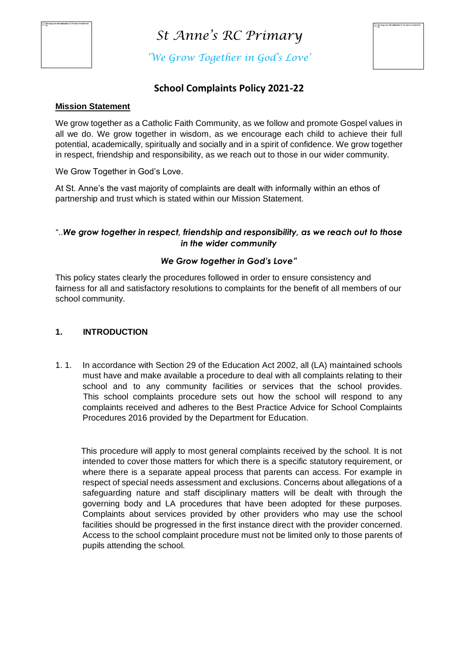

*'We Grow Together in God's Love'*

## **School Complaints Policy 2021-22**

#### **Mission Statement**

We grow together as a Catholic Faith Community, as we follow and promote Gospel values in all we do. We grow together in wisdom, as we encourage each child to achieve their full potential, academically, spiritually and socially and in a spirit of confidence. We grow together in respect, friendship and responsibility, as we reach out to those in our wider community.

We Grow Together in God's Love.

At St. Anne's the vast majority of complaints are dealt with informally within an ethos of partnership and trust which is stated within our Mission Statement.

## "..*We grow together in respect, friendship and responsibility, as we reach out to those in the wider community*

## *We Grow together in God's Love"*

This policy states clearly the procedures followed in order to ensure consistency and fairness for all and satisfactory resolutions to complaints for the benefit of all members of our school community.

#### **1. INTRODUCTION**

1. 1. In accordance with Section 29 of the Education Act 2002, all (LA) maintained schools must have and make available a procedure to deal with all complaints relating to their school and to any community facilities or services that the school provides. This school complaints procedure sets out how the school will respond to any complaints received and adheres to the Best Practice Advice for School Complaints Procedures 2016 provided by the Department for Education.

 This procedure will apply to most general complaints received by the school. It is not intended to cover those matters for which there is a specific statutory requirement, or where there is a separate appeal process that parents can access. For example in respect of special needs assessment and exclusions. Concerns about allegations of a safeguarding nature and staff disciplinary matters will be dealt with through the governing body and LA procedures that have been adopted for these purposes. Complaints about services provided by other providers who may use the school facilities should be progressed in the first instance direct with the provider concerned. Access to the school complaint procedure must not be limited only to those parents of pupils attending the school.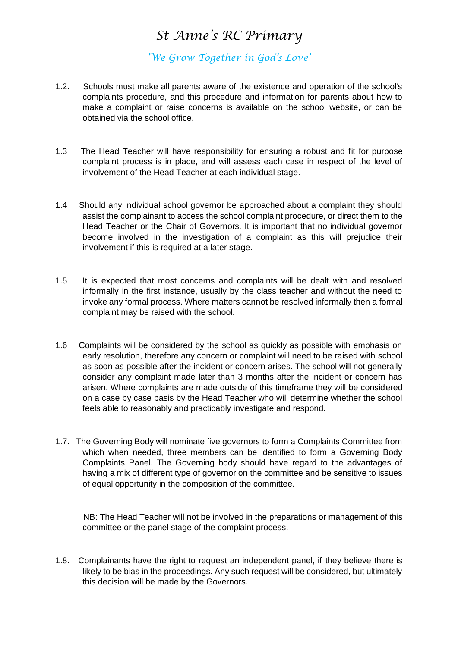*'We Grow Together in God's Love'*

- 1.2. Schools must make all parents aware of the existence and operation of the school's complaints procedure, and this procedure and information for parents about how to make a complaint or raise concerns is available on the school website, or can be obtained via the school office.
- 1.3 The Head Teacher will have responsibility for ensuring a robust and fit for purpose complaint process is in place, and will assess each case in respect of the level of involvement of the Head Teacher at each individual stage.
- 1.4 Should any individual school governor be approached about a complaint they should assist the complainant to access the school complaint procedure, or direct them to the Head Teacher or the Chair of Governors. It is important that no individual governor become involved in the investigation of a complaint as this will prejudice their involvement if this is required at a later stage.
- 1.5 It is expected that most concerns and complaints will be dealt with and resolved informally in the first instance, usually by the class teacher and without the need to invoke any formal process. Where matters cannot be resolved informally then a formal complaint may be raised with the school.
- 1.6 Complaints will be considered by the school as quickly as possible with emphasis on early resolution, therefore any concern or complaint will need to be raised with school as soon as possible after the incident or concern arises. The school will not generally consider any complaint made later than 3 months after the incident or concern has arisen. Where complaints are made outside of this timeframe they will be considered on a case by case basis by the Head Teacher who will determine whether the school feels able to reasonably and practicably investigate and respond.
- 1.7. The Governing Body will nominate five governors to form a Complaints Committee from which when needed, three members can be identified to form a Governing Body Complaints Panel. The Governing body should have regard to the advantages of having a mix of different type of governor on the committee and be sensitive to issues of equal opportunity in the composition of the committee.

 NB: The Head Teacher will not be involved in the preparations or management of this committee or the panel stage of the complaint process.

1.8. Complainants have the right to request an independent panel, if they believe there is likely to be bias in the proceedings. Any such request will be considered, but ultimately this decision will be made by the Governors.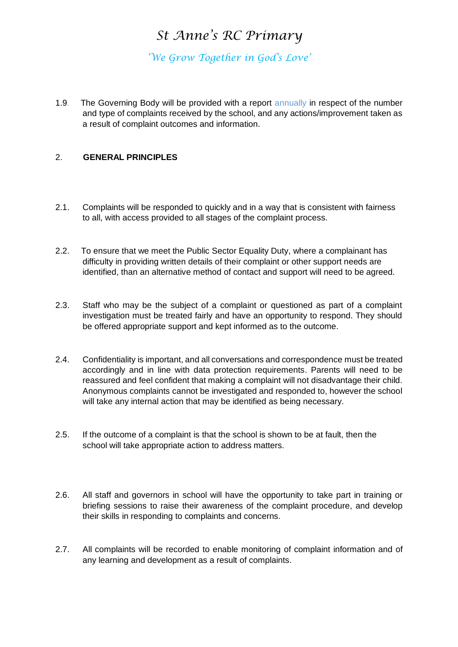*'We Grow Together in God's Love'*

1.9. The Governing Body will be provided with a report annually in respect of the number and type of complaints received by the school, and any actions/improvement taken as a result of complaint outcomes and information.

## 2. **GENERAL PRINCIPLES**

- 2.1. Complaints will be responded to quickly and in a way that is consistent with fairness to all, with access provided to all stages of the complaint process.
- 2.2. To ensure that we meet the Public Sector Equality Duty, where a complainant has difficulty in providing written details of their complaint or other support needs are identified, than an alternative method of contact and support will need to be agreed.
- 2.3. Staff who may be the subject of a complaint or questioned as part of a complaint investigation must be treated fairly and have an opportunity to respond. They should be offered appropriate support and kept informed as to the outcome.
- 2.4. Confidentiality is important, and all conversations and correspondence must be treated accordingly and in line with data protection requirements. Parents will need to be reassured and feel confident that making a complaint will not disadvantage their child. Anonymous complaints cannot be investigated and responded to, however the school will take any internal action that may be identified as being necessary.
- 2.5. If the outcome of a complaint is that the school is shown to be at fault, then the school will take appropriate action to address matters.
- 2.6. All staff and governors in school will have the opportunity to take part in training or briefing sessions to raise their awareness of the complaint procedure, and develop their skills in responding to complaints and concerns.
- 2.7. All complaints will be recorded to enable monitoring of complaint information and of any learning and development as a result of complaints.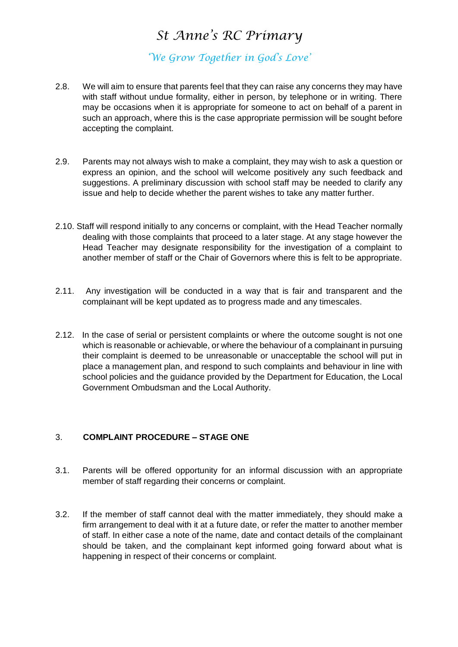*'We Grow Together in God's Love'*

- 2.8. We will aim to ensure that parents feel that they can raise any concerns they may have with staff without undue formality, either in person, by telephone or in writing. There may be occasions when it is appropriate for someone to act on behalf of a parent in such an approach, where this is the case appropriate permission will be sought before accepting the complaint.
- 2.9. Parents may not always wish to make a complaint, they may wish to ask a question or express an opinion, and the school will welcome positively any such feedback and suggestions. A preliminary discussion with school staff may be needed to clarify any issue and help to decide whether the parent wishes to take any matter further.
- 2.10. Staff will respond initially to any concerns or complaint, with the Head Teacher normally dealing with those complaints that proceed to a later stage. At any stage however the Head Teacher may designate responsibility for the investigation of a complaint to another member of staff or the Chair of Governors where this is felt to be appropriate.
- 2.11. Any investigation will be conducted in a way that is fair and transparent and the complainant will be kept updated as to progress made and any timescales.
- 2.12. In the case of serial or persistent complaints or where the outcome sought is not one which is reasonable or achievable, or where the behaviour of a complainant in pursuing their complaint is deemed to be unreasonable or unacceptable the school will put in place a management plan, and respond to such complaints and behaviour in line with school policies and the guidance provided by the Department for Education, the Local Government Ombudsman and the Local Authority.

## 3. **COMPLAINT PROCEDURE – STAGE ONE**

- 3.1. Parents will be offered opportunity for an informal discussion with an appropriate member of staff regarding their concerns or complaint.
- 3.2. If the member of staff cannot deal with the matter immediately, they should make a firm arrangement to deal with it at a future date, or refer the matter to another member of staff. In either case a note of the name, date and contact details of the complainant should be taken, and the complainant kept informed going forward about what is happening in respect of their concerns or complaint.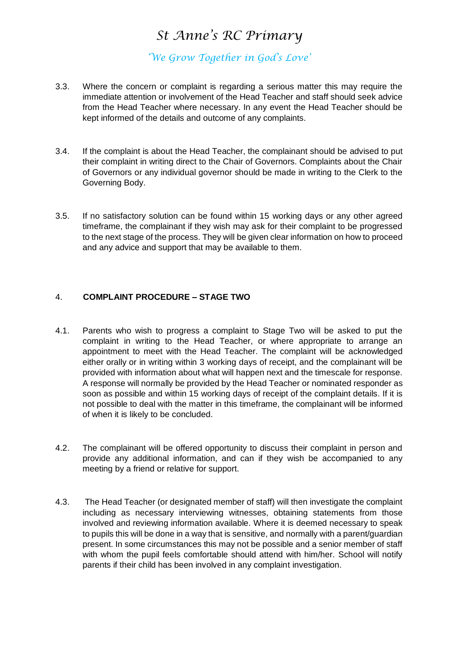*'We Grow Together in God's Love'*

- 3.3. Where the concern or complaint is regarding a serious matter this may require the immediate attention or involvement of the Head Teacher and staff should seek advice from the Head Teacher where necessary. In any event the Head Teacher should be kept informed of the details and outcome of any complaints.
- 3.4. If the complaint is about the Head Teacher, the complainant should be advised to put their complaint in writing direct to the Chair of Governors. Complaints about the Chair of Governors or any individual governor should be made in writing to the Clerk to the Governing Body.
- 3.5. If no satisfactory solution can be found within 15 working days or any other agreed timeframe, the complainant if they wish may ask for their complaint to be progressed to the next stage of the process. They will be given clear information on how to proceed and any advice and support that may be available to them.

## 4. **COMPLAINT PROCEDURE – STAGE TWO**

- 4.1. Parents who wish to progress a complaint to Stage Two will be asked to put the complaint in writing to the Head Teacher, or where appropriate to arrange an appointment to meet with the Head Teacher. The complaint will be acknowledged either orally or in writing within 3 working days of receipt, and the complainant will be provided with information about what will happen next and the timescale for response. A response will normally be provided by the Head Teacher or nominated responder as soon as possible and within 15 working days of receipt of the complaint details. If it is not possible to deal with the matter in this timeframe, the complainant will be informed of when it is likely to be concluded.
- 4.2. The complainant will be offered opportunity to discuss their complaint in person and provide any additional information, and can if they wish be accompanied to any meeting by a friend or relative for support.
- 4.3. The Head Teacher (or designated member of staff) will then investigate the complaint including as necessary interviewing witnesses, obtaining statements from those involved and reviewing information available. Where it is deemed necessary to speak to pupils this will be done in a way that is sensitive, and normally with a parent/guardian present. In some circumstances this may not be possible and a senior member of staff with whom the pupil feels comfortable should attend with him/her. School will notify parents if their child has been involved in any complaint investigation.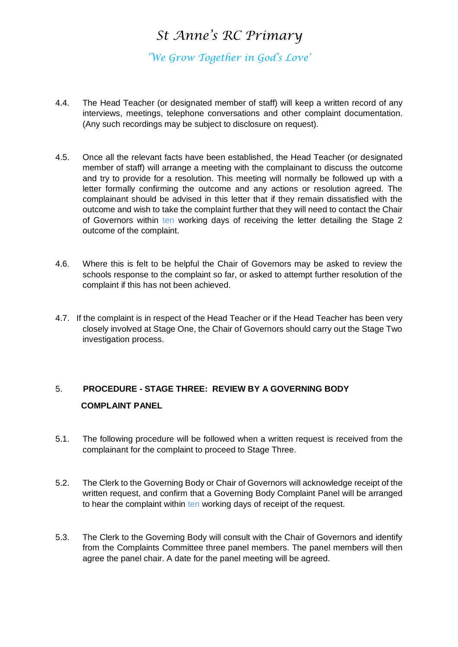*'We Grow Together in God's Love'*

- 4.4. The Head Teacher (or designated member of staff) will keep a written record of any interviews, meetings, telephone conversations and other complaint documentation. (Any such recordings may be subject to disclosure on request).
- 4.5. Once all the relevant facts have been established, the Head Teacher (or designated member of staff) will arrange a meeting with the complainant to discuss the outcome and try to provide for a resolution. This meeting will normally be followed up with a letter formally confirming the outcome and any actions or resolution agreed. The complainant should be advised in this letter that if they remain dissatisfied with the outcome and wish to take the complaint further that they will need to contact the Chair of Governors within ten working days of receiving the letter detailing the Stage 2 outcome of the complaint.
- 4.6. Where this is felt to be helpful the Chair of Governors may be asked to review the schools response to the complaint so far, or asked to attempt further resolution of the complaint if this has not been achieved.
- 4.7. If the complaint is in respect of the Head Teacher or if the Head Teacher has been very closely involved at Stage One, the Chair of Governors should carry out the Stage Two investigation process.

## 5. **PROCEDURE - STAGE THREE: REVIEW BY A GOVERNING BODY COMPLAINT PANEL**

- 5.1. The following procedure will be followed when a written request is received from the complainant for the complaint to proceed to Stage Three.
- 5.2. The Clerk to the Governing Body or Chair of Governors will acknowledge receipt of the written request, and confirm that a Governing Body Complaint Panel will be arranged to hear the complaint within ten working days of receipt of the request.
- 5.3. The Clerk to the Governing Body will consult with the Chair of Governors and identify from the Complaints Committee three panel members. The panel members will then agree the panel chair. A date for the panel meeting will be agreed.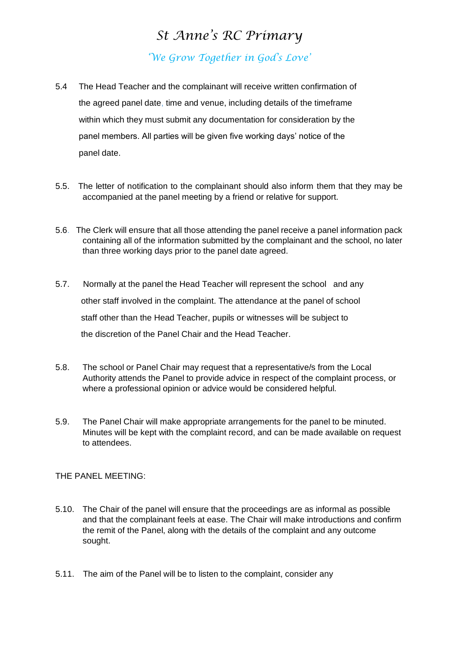*'We Grow Together in God's Love'*

- 5.4 The Head Teacher and the complainant will receive written confirmation of the agreed panel date, time and venue, including details of the timeframe within which they must submit any documentation for consideration by the panel members. All parties will be given five working days' notice of the panel date.
- 5.5. The letter of notification to the complainant should also inform them that they may be accompanied at the panel meeting by a friend or relative for support.
- 5.6. The Clerk will ensure that all those attending the panel receive a panel information pack containing all of the information submitted by the complainant and the school, no later than three working days prior to the panel date agreed.
- 5.7. Normally at the panel the Head Teacher will represent the school and any other staff involved in the complaint. The attendance at the panel of school staff other than the Head Teacher, pupils or witnesses will be subject to the discretion of the Panel Chair and the Head Teacher.
- 5.8. The school or Panel Chair may request that a representative/s from the Local Authority attends the Panel to provide advice in respect of the complaint process, or where a professional opinion or advice would be considered helpful.
- 5.9. The Panel Chair will make appropriate arrangements for the panel to be minuted. Minutes will be kept with the complaint record, and can be made available on request to attendees.

THE PANEL MEETING:

- 5.10. The Chair of the panel will ensure that the proceedings are as informal as possible and that the complainant feels at ease. The Chair will make introductions and confirm the remit of the Panel, along with the details of the complaint and any outcome sought.
- 5.11. The aim of the Panel will be to listen to the complaint, consider any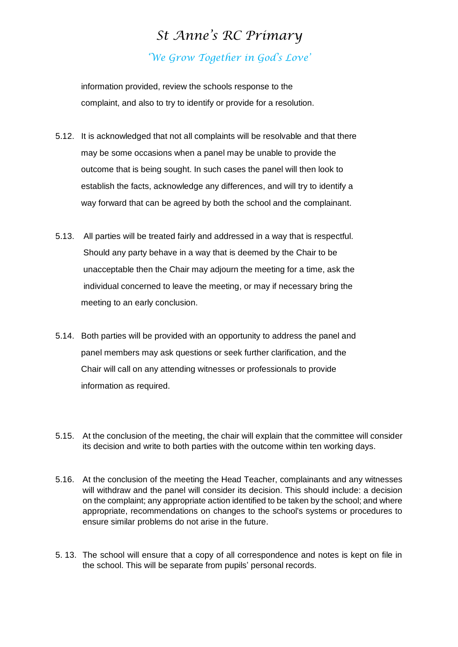# *St Anne's RC Primary 'We Grow Together in God's Love'*

 information provided, review the schools response to the complaint, and also to try to identify or provide for a resolution.

- 5.12. It is acknowledged that not all complaints will be resolvable and that there may be some occasions when a panel may be unable to provide the outcome that is being sought. In such cases the panel will then look to establish the facts, acknowledge any differences, and will try to identify a way forward that can be agreed by both the school and the complainant.
- 5.13. All parties will be treated fairly and addressed in a way that is respectful. Should any party behave in a way that is deemed by the Chair to be unacceptable then the Chair may adjourn the meeting for a time, ask the individual concerned to leave the meeting, or may if necessary bring the meeting to an early conclusion.
- 5.14. Both parties will be provided with an opportunity to address the panel and panel members may ask questions or seek further clarification, and the Chair will call on any attending witnesses or professionals to provide information as required.
- 5.15. At the conclusion of the meeting, the chair will explain that the committee will consider its decision and write to both parties with the outcome within ten working days.
- 5.16. At the conclusion of the meeting the Head Teacher, complainants and any witnesses will withdraw and the panel will consider its decision. This should include: a decision on the complaint; any appropriate action identified to be taken by the school; and where appropriate, recommendations on changes to the school's systems or procedures to ensure similar problems do not arise in the future.
- 5. 13. The school will ensure that a copy of all correspondence and notes is kept on file in the school. This will be separate from pupils' personal records.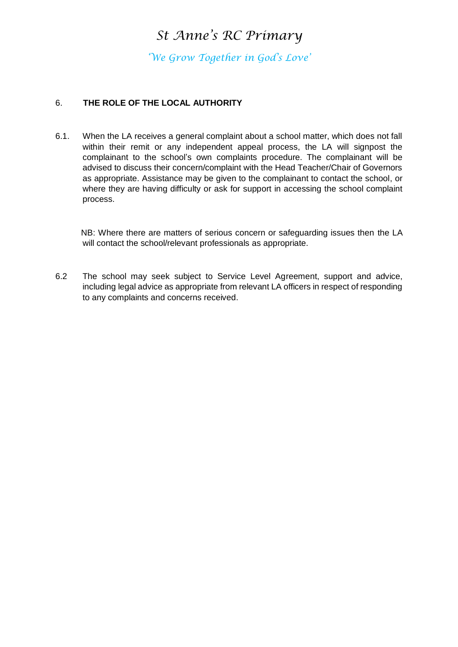*'We Grow Together in God's Love'*

## 6. **THE ROLE OF THE LOCAL AUTHORITY**

6.1. When the LA receives a general complaint about a school matter, which does not fall within their remit or any independent appeal process, the LA will signpost the complainant to the school's own complaints procedure. The complainant will be advised to discuss their concern/complaint with the Head Teacher/Chair of Governors as appropriate. Assistance may be given to the complainant to contact the school, or where they are having difficulty or ask for support in accessing the school complaint process.

 NB: Where there are matters of serious concern or safeguarding issues then the LA will contact the school/relevant professionals as appropriate.

6.2 The school may seek subject to Service Level Agreement, support and advice, including legal advice as appropriate from relevant LA officers in respect of responding to any complaints and concerns received.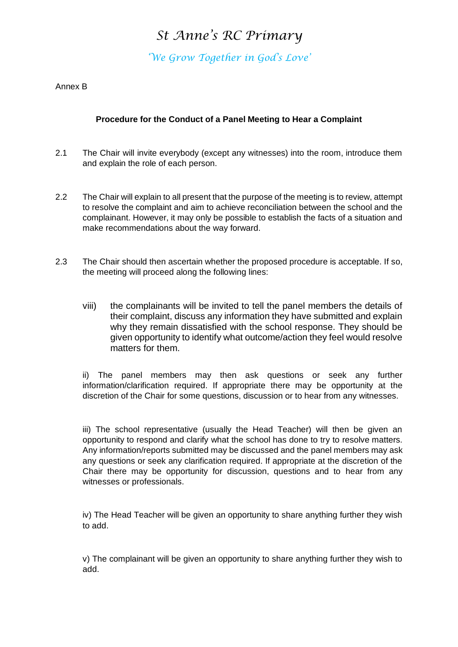*'We Grow Together in God's Love'*

Annex B

## **Procedure for the Conduct of a Panel Meeting to Hear a Complaint**

- 2.1 The Chair will invite everybody (except any witnesses) into the room, introduce them and explain the role of each person.
- 2.2 The Chair will explain to all present that the purpose of the meeting is to review, attempt to resolve the complaint and aim to achieve reconciliation between the school and the complainant. However, it may only be possible to establish the facts of a situation and make recommendations about the way forward.
- 2.3 The Chair should then ascertain whether the proposed procedure is acceptable. If so, the meeting will proceed along the following lines:
	- viii) the complainants will be invited to tell the panel members the details of their complaint, discuss any information they have submitted and explain why they remain dissatisfied with the school response. They should be given opportunity to identify what outcome/action they feel would resolve matters for them.

ii) The panel members may then ask questions or seek any further information/clarification required. If appropriate there may be opportunity at the discretion of the Chair for some questions, discussion or to hear from any witnesses.

iii) The school representative (usually the Head Teacher) will then be given an opportunity to respond and clarify what the school has done to try to resolve matters. Any information/reports submitted may be discussed and the panel members may ask any questions or seek any clarification required. If appropriate at the discretion of the Chair there may be opportunity for discussion, questions and to hear from any witnesses or professionals.

iv) The Head Teacher will be given an opportunity to share anything further they wish to add.

v) The complainant will be given an opportunity to share anything further they wish to add.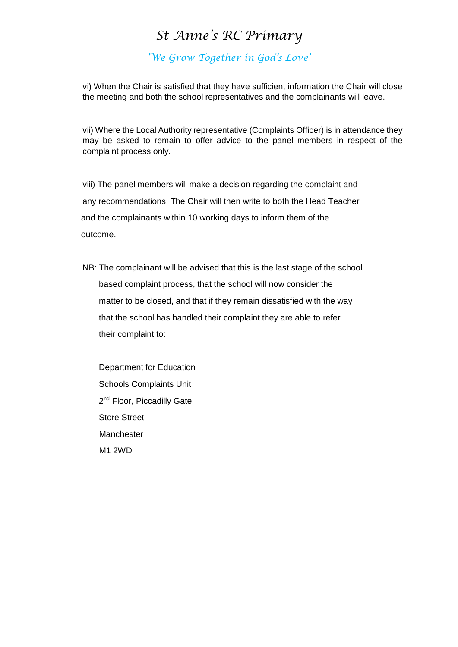## *'We Grow Together in God's Love'*

vi) When the Chair is satisfied that they have sufficient information the Chair will close the meeting and both the school representatives and the complainants will leave.

vii) Where the Local Authority representative (Complaints Officer) is in attendance they may be asked to remain to offer advice to the panel members in respect of the complaint process only.

viii) The panel members will make a decision regarding the complaint and any recommendations. The Chair will then write to both the Head Teacher and the complainants within 10 working days to inform them of the outcome.

NB: The complainant will be advised that this is the last stage of the school based complaint process, that the school will now consider the matter to be closed, and that if they remain dissatisfied with the way that the school has handled their complaint they are able to refer their complaint to:

 Department for Education Schools Complaints Unit 2<sup>nd</sup> Floor, Piccadilly Gate Store Street Manchester M1 2WD